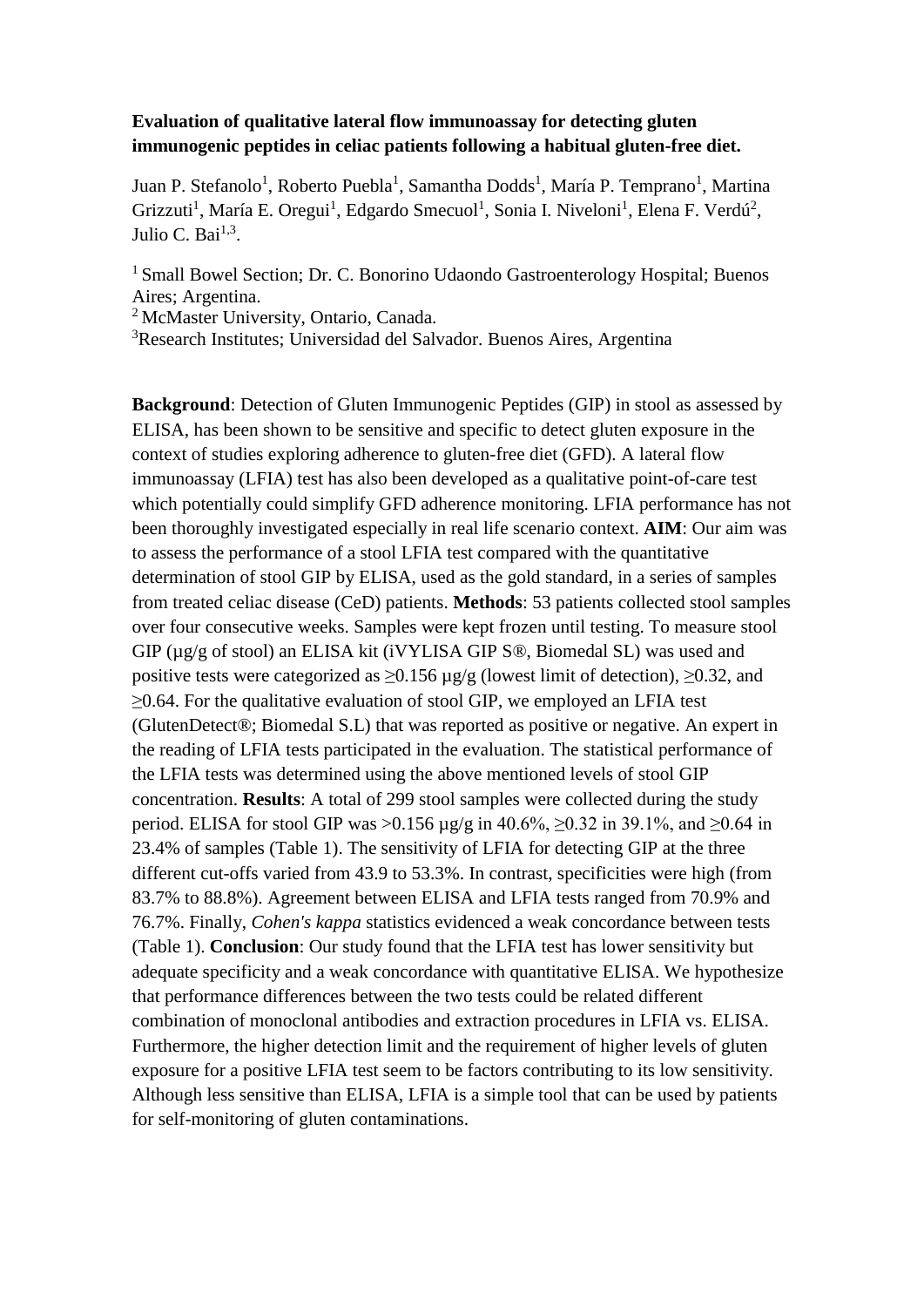## **Evaluation of qualitative lateral flow immunoassay for detecting gluten immunogenic peptides in celiac patients following a habitual gluten-free diet.**

Juan P. Stefanolo<sup>1</sup>, Roberto Puebla<sup>1</sup>, Samantha Dodds<sup>1</sup>, María P. Temprano<sup>1</sup>, Martina Grizzuti<sup>1</sup>, María E. Oregui<sup>1</sup>, Edgardo Smecuol<sup>1</sup>, Sonia I. Niveloni<sup>1</sup>, Elena F. Verdú<sup>2</sup>, Julio C. Bai $^{1,3}$ .

<sup>1</sup> Small Bowel Section; Dr. C. Bonorino Udaondo Gastroenterology Hospital; Buenos Aires; Argentina.

<sup>2</sup> McMaster University, Ontario, Canada.

<sup>3</sup>Research Institutes; Universidad del Salvador. Buenos Aires, Argentina

**Background**: Detection of Gluten Immunogenic Peptides (GIP) in stool as assessed by ELISA, has been shown to be sensitive and specific to detect gluten exposure in the context of studies exploring adherence to gluten-free diet (GFD). A lateral flow immunoassay (LFIA) test has also been developed as a qualitative point-of-care test which potentially could simplify GFD adherence monitoring. LFIA performance has not been thoroughly investigated especially in real life scenario context. **AIM**: Our aim was to assess the performance of a stool LFIA test compared with the quantitative determination of stool GIP by ELISA, used as the gold standard, in a series of samples from treated celiac disease (CeD) patients. **Methods**: 53 patients collected stool samples over four consecutive weeks. Samples were kept frozen until testing. To measure stool GIP (µg/g of stool) an ELISA kit (iVYLISA GIP S®, Biomedal SL) was used and positive tests were categorized as  $\geq 0.156$  µg/g (lowest limit of detection),  $\geq 0.32$ , and  $\geq$ 0.64. For the qualitative evaluation of stool GIP, we employed an LFIA test (GlutenDetect®; Biomedal S.L) that was reported as positive or negative. An expert in the reading of LFIA tests participated in the evaluation. The statistical performance of the LFIA tests was determined using the above mentioned levels of stool GIP concentration. **Results**: A total of 299 stool samples were collected during the study period. ELISA for stool GIP was >0.156 µg/g in 40.6%, ≥0.32 in 39.1%, and ≥0.64 in 23.4% of samples (Table 1). The sensitivity of LFIA for detecting GIP at the three different cut-offs varied from 43.9 to 53.3%. In contrast, specificities were high (from 83.7% to 88.8%). Agreement between ELISA and LFIA tests ranged from 70.9% and 76.7%. Finally, *Cohen's kappa* statistics evidenced a weak concordance between tests (Table 1). **Conclusion**: Our study found that the LFIA test has lower sensitivity but adequate specificity and a weak concordance with quantitative ELISA. We hypothesize that performance differences between the two tests could be related different combination of monoclonal antibodies and extraction procedures in LFIA vs. ELISA. Furthermore, the higher detection limit and the requirement of higher levels of gluten exposure for a positive LFIA test seem to be factors contributing to its low sensitivity. Although less sensitive than ELISA, LFIA is a simple tool that can be used by patients for self-monitoring of gluten contaminations.